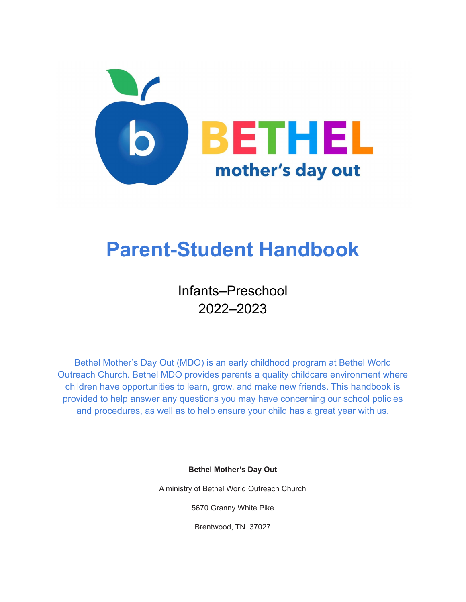

# **Parent-Student Handbook**

Infants–Preschool 2022–2023

Bethel Mother's Day Out (MDO) is an early childhood program at Bethel World Outreach Church. Bethel MDO provides parents a quality childcare environment where children have opportunities to learn, grow, and make new friends. This handbook is provided to help answer any questions you may have concerning our school policies and procedures, as well as to help ensure your child has a great year with us.

**Bethel Mother's Day Out**

A ministry of Bethel World Outreach Church

5670 Granny White Pike

Brentwood, TN 37027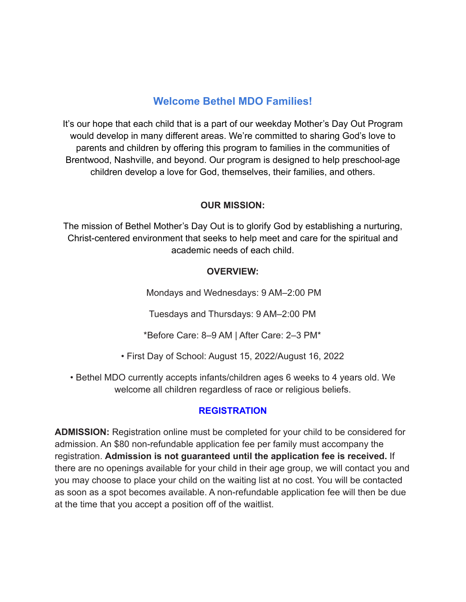# **Welcome Bethel MDO Families!**

It's our hope that each child that is a part of our weekday Mother's Day Out Program would develop in many different areas. We're committed to sharing God's love to parents and children by offering this program to families in the communities of Brentwood, Nashville, and beyond. Our program is designed to help preschool-age children develop a love for God, themselves, their families, and others.

#### **OUR MISSION:**

The mission of Bethel Mother's Day Out is to glorify God by establishing a nurturing, Christ-centered environment that seeks to help meet and care for the spiritual and academic needs of each child.

#### **OVERVIEW:**

Mondays and Wednesdays: 9 AM–2:00 PM

Tuesdays and Thursdays: 9 AM–2:00 PM

\*Before Care: 8–9 AM | After Care: 2–3 PM\*

• First Day of School: August 15, 2022/August 16, 2022

• Bethel MDO currently accepts infants/children ages 6 weeks to 4 years old. We welcome all children regardless of race or religious beliefs.

## **REGISTRATION**

**ADMISSION:** Registration online must be completed for your child to be considered for admission. An \$80 non-refundable application fee per family must accompany the registration. **Admission is not guaranteed until the application fee is received.** If there are no openings available for your child in their age group, we will contact you and you may choose to place your child on the waiting list at no cost. You will be contacted as soon as a spot becomes available. A non-refundable application fee will then be due at the time that you accept a position off of the waitlist.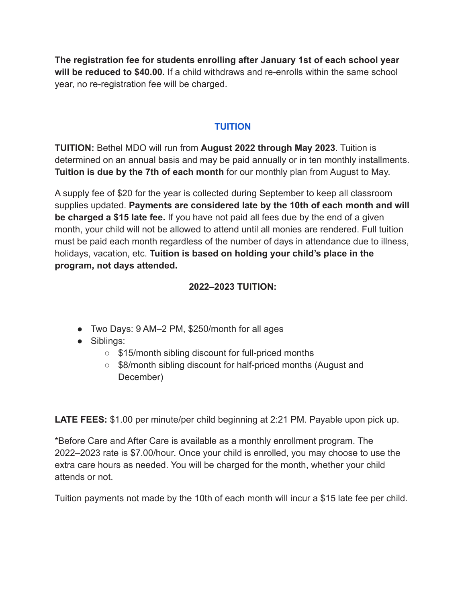**The registration fee for students enrolling after January 1st of each school year will be reduced to \$40.00.** If a child withdraws and re-enrolls within the same school year, no re-registration fee will be charged.

#### **TUITION**

**TUITION:** Bethel MDO will run from **August 2022 through May 2023**. Tuition is determined on an annual basis and may be paid annually or in ten monthly installments. **Tuition is due by the 7th of each month** for our monthly plan from August to May.

A supply fee of \$20 for the year is collected during September to keep all classroom supplies updated. **Payments are considered late by the 10th of each month and will be charged a \$15 late fee.** If you have not paid all fees due by the end of a given month, your child will not be allowed to attend until all monies are rendered. Full tuition must be paid each month regardless of the number of days in attendance due to illness, holidays, vacation, etc. **Tuition is based on holding your child's place in the program, not days attended.**

#### **2022–2023 TUITION:**

- Two Days: 9 AM–2 PM, \$250/month for all ages
- Siblings:
	- \$15/month sibling discount for full-priced months
	- \$8/month sibling discount for half-priced months (August and December)

**LATE FEES:** \$1.00 per minute/per child beginning at 2:21 PM. Payable upon pick up.

\*Before Care and After Care is available as a monthly enrollment program. The 2022–2023 rate is \$7.00/hour. Once your child is enrolled, you may choose to use the extra care hours as needed. You will be charged for the month, whether your child attends or not.

Tuition payments not made by the 10th of each month will incur a \$15 late fee per child.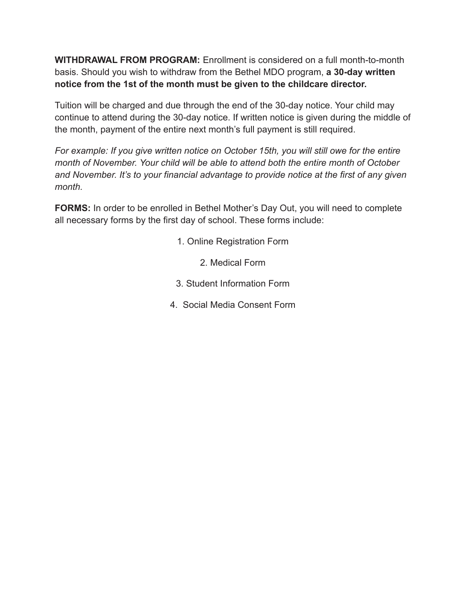**WITHDRAWAL FROM PROGRAM:** Enrollment is considered on a full month-to-month basis. Should you wish to withdraw from the Bethel MDO program, **a 30-day written notice from the 1st of the month must be given to the childcare director.**

Tuition will be charged and due through the end of the 30-day notice. Your child may continue to attend during the 30-day notice. If written notice is given during the middle of the month, payment of the entire next month's full payment is still required.

*For example: If you give written notice on October 15th, you will still owe for the entire month of November. Your child will be able to attend both the entire month of October and November. It's to your financial advantage to provide notice at the first of any given month.*

**FORMS:** In order to be enrolled in Bethel Mother's Day Out, you will need to complete all necessary forms by the first day of school. These forms include:

- 1. Online Registration Form
	- 2. Medical Form
- 3. Student Information Form
- 4. Social Media Consent Form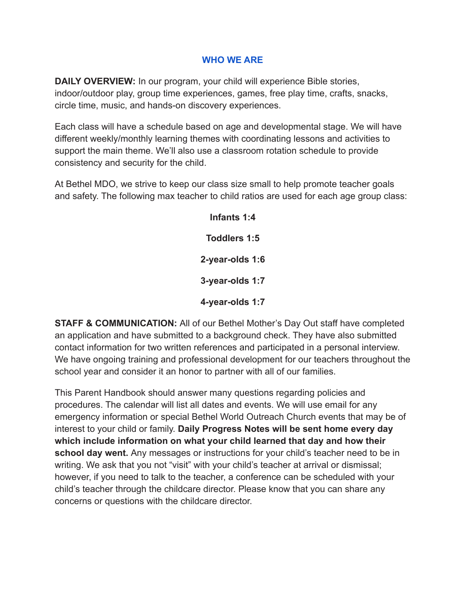#### **WHO WE ARE**

**DAILY OVERVIEW:** In our program, your child will experience Bible stories, indoor/outdoor play, group time experiences, games, free play time, crafts, snacks, circle time, music, and hands-on discovery experiences.

Each class will have a schedule based on age and developmental stage. We will have different weekly/monthly learning themes with coordinating lessons and activities to support the main theme. We'll also use a classroom rotation schedule to provide consistency and security for the child.

At Bethel MDO, we strive to keep our class size small to help promote teacher goals and safety. The following max teacher to child ratios are used for each age group class:

> **Infants 1:4 Toddlers 1:5 2-year-olds 1:6 3-year-olds 1:7 4-year-olds 1:7**

**STAFF & COMMUNICATION:** All of our Bethel Mother's Day Out staff have completed an application and have submitted to a background check. They have also submitted contact information for two written references and participated in a personal interview. We have ongoing training and professional development for our teachers throughout the school year and consider it an honor to partner with all of our families.

This Parent Handbook should answer many questions regarding policies and procedures. The calendar will list all dates and events. We will use email for any emergency information or special Bethel World Outreach Church events that may be of interest to your child or family. **Daily Progress Notes will be sent home every day which include information on what your child learned that day and how their school day went.** Any messages or instructions for your child's teacher need to be in writing. We ask that you not "visit" with your child's teacher at arrival or dismissal; however, if you need to talk to the teacher, a conference can be scheduled with your child's teacher through the childcare director. Please know that you can share any concerns or questions with the childcare director.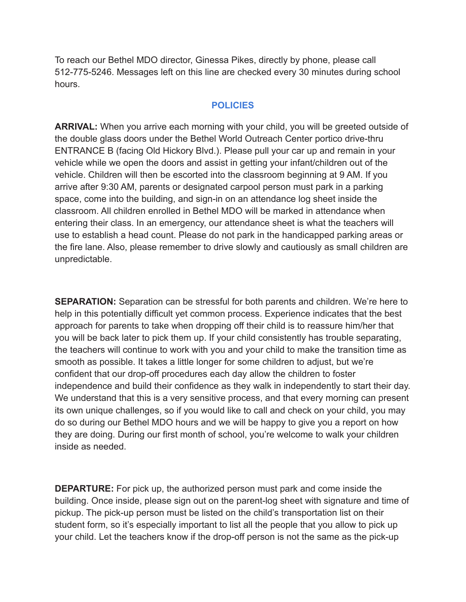To reach our Bethel MDO director, Ginessa Pikes, directly by phone, please call 512-775-5246. Messages left on this line are checked every 30 minutes during school hours.

#### **POLICIES**

**ARRIVAL:** When you arrive each morning with your child, you will be greeted outside of the double glass doors under the Bethel World Outreach Center portico drive-thru ENTRANCE B (facing Old Hickory Blvd.). Please pull your car up and remain in your vehicle while we open the doors and assist in getting your infant/children out of the vehicle. Children will then be escorted into the classroom beginning at 9 AM. If you arrive after 9:30 AM, parents or designated carpool person must park in a parking space, come into the building, and sign-in on an attendance log sheet inside the classroom. All children enrolled in Bethel MDO will be marked in attendance when entering their class. In an emergency, our attendance sheet is what the teachers will use to establish a head count. Please do not park in the handicapped parking areas or the fire lane. Also, please remember to drive slowly and cautiously as small children are unpredictable.

**SEPARATION:** Separation can be stressful for both parents and children. We're here to help in this potentially difficult yet common process. Experience indicates that the best approach for parents to take when dropping off their child is to reassure him/her that you will be back later to pick them up. If your child consistently has trouble separating, the teachers will continue to work with you and your child to make the transition time as smooth as possible. It takes a little longer for some children to adjust, but we're confident that our drop-off procedures each day allow the children to foster independence and build their confidence as they walk in independently to start their day. We understand that this is a very sensitive process, and that every morning can present its own unique challenges, so if you would like to call and check on your child, you may do so during our Bethel MDO hours and we will be happy to give you a report on how they are doing. During our first month of school, you're welcome to walk your children inside as needed.

**DEPARTURE:** For pick up, the authorized person must park and come inside the building. Once inside, please sign out on the parent-log sheet with signature and time of pickup. The pick-up person must be listed on the child's transportation list on their student form, so it's especially important to list all the people that you allow to pick up your child. Let the teachers know if the drop-off person is not the same as the pick-up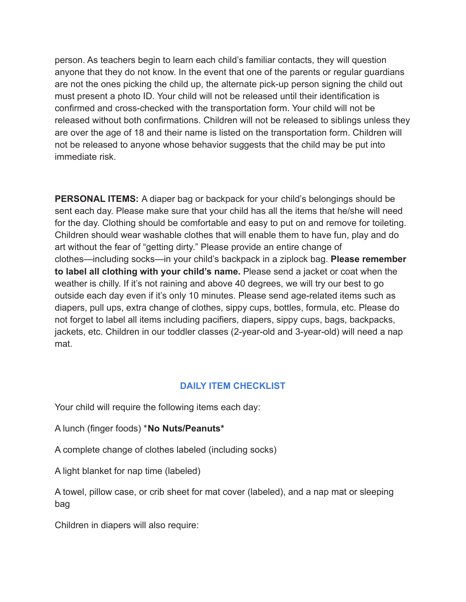person. As teachers begin to learn each child's familiar contacts, they will question anyone that they do not know. In the event that one of the parents or regular guardians are not the ones picking the child up, the alternate pick-up person signing the child out must present a photo ID. Your child will not be released until their identification is confirmed and cross-checked with the transportation form. Your child will not be released without both confirmations. Children will not be released to siblings unless they are over the age of 18 and their name is listed on the transportation form. Children will not be released to anyone whose behavior suggests that the child may be put into immediate risk.

**PERSONAL ITEMS:** A diaper bag or backpack for your child's belongings should be sent each day. Please make sure that your child has all the items that he/she will need for the day. Clothing should be comfortable and easy to put on and remove for toileting. Children should wear washable clothes that will enable them to have fun, play and do art without the fear of "getting dirty." Please provide an entire change of clothes—including socks—in your child's backpack in a ziplock bag. **Please remember to label all clothing with your child's name.** Please send a jacket or coat when the weather is chilly. If it's not raining and above 40 degrees, we will try our best to go outside each day even if it's only 10 minutes. Please send age-related items such as diapers, pull ups, extra change of clothes, sippy cups, bottles, formula, etc. Please do not forget to label all items including pacifiers, diapers, sippy cups, bags, backpacks, jackets, etc. Children in our toddler classes (2-year-old and 3-year-old) will need a nap mat.

#### **DAILY ITEM CHECKLIST**

Your child will require the following items each day:

A lunch (finger foods) \***No Nuts/Peanuts\***

A complete change of clothes labeled (including socks)

A light blanket for nap time (labeled)

A towel, pillow case, or crib sheet for mat cover (labeled), and a nap mat or sleeping bag

Children in diapers will also require: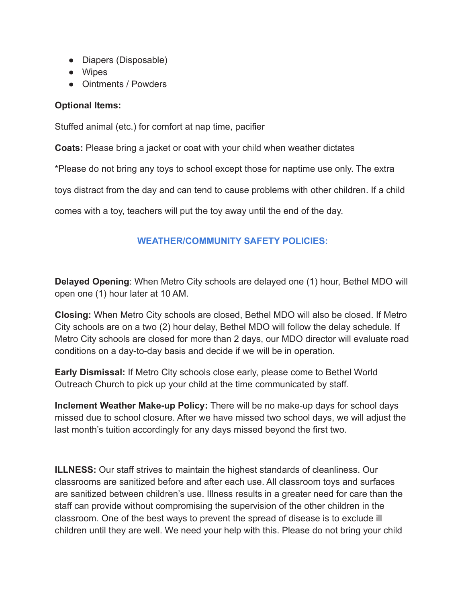- Diapers (Disposable)
- Wipes
- Ointments / Powders

#### **Optional Items:**

Stuffed animal (etc.) for comfort at nap time, pacifier

**Coats:** Please bring a jacket or coat with your child when weather dictates

\*Please do not bring any toys to school except those for naptime use only. The extra

toys distract from the day and can tend to cause problems with other children. If a child

comes with a toy, teachers will put the toy away until the end of the day.

## **WEATHER/COMMUNITY SAFETY POLICIES:**

**Delayed Opening**: When Metro City schools are delayed one (1) hour, Bethel MDO will open one (1) hour later at 10 AM.

**Closing:** When Metro City schools are closed, Bethel MDO will also be closed. If Metro City schools are on a two (2) hour delay, Bethel MDO will follow the delay schedule. If Metro City schools are closed for more than 2 days, our MDO director will evaluate road conditions on a day-to-day basis and decide if we will be in operation.

**Early Dismissal:** If Metro City schools close early, please come to Bethel World Outreach Church to pick up your child at the time communicated by staff.

**Inclement Weather Make-up Policy:** There will be no make-up days for school days missed due to school closure. After we have missed two school days, we will adjust the last month's tuition accordingly for any days missed beyond the first two.

**ILLNESS:** Our staff strives to maintain the highest standards of cleanliness. Our classrooms are sanitized before and after each use. All classroom toys and surfaces are sanitized between children's use. Illness results in a greater need for care than the staff can provide without compromising the supervision of the other children in the classroom. One of the best ways to prevent the spread of disease is to exclude ill children until they are well. We need your help with this. Please do not bring your child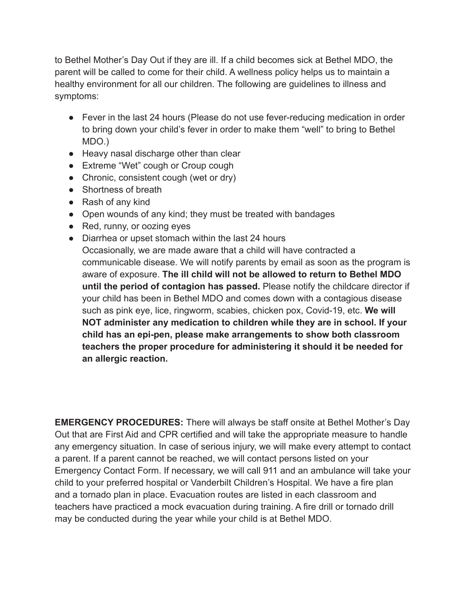to Bethel Mother's Day Out if they are ill. If a child becomes sick at Bethel MDO, the parent will be called to come for their child. A wellness policy helps us to maintain a healthy environment for all our children. The following are guidelines to illness and symptoms:

- Fever in the last 24 hours (Please do not use fever-reducing medication in order to bring down your child's fever in order to make them "well" to bring to Bethel MDO.)
- Heavy nasal discharge other than clear
- Extreme "Wet" cough or Croup cough
- Chronic, consistent cough (wet or dry)
- Shortness of breath
- Rash of any kind
- Open wounds of any kind; they must be treated with bandages
- Red, runny, or oozing eyes
- Diarrhea or upset stomach within the last 24 hours Occasionally, we are made aware that a child will have contracted a communicable disease. We will notify parents by email as soon as the program is aware of exposure. **The ill child will not be allowed to return to Bethel MDO until the period of contagion has passed.** Please notify the childcare director if your child has been in Bethel MDO and comes down with a contagious disease such as pink eye, lice, ringworm, scabies, chicken pox, Covid-19, etc. **We will NOT administer any medication to children while they are in school. If your child has an epi-pen, please make arrangements to show both classroom teachers the proper procedure for administering it should it be needed for an allergic reaction.**

**EMERGENCY PROCEDURES:** There will always be staff onsite at Bethel Mother's Day Out that are First Aid and CPR certified and will take the appropriate measure to handle any emergency situation. In case of serious injury, we will make every attempt to contact a parent. If a parent cannot be reached, we will contact persons listed on your Emergency Contact Form. If necessary, we will call 911 and an ambulance will take your child to your preferred hospital or Vanderbilt Children's Hospital. We have a fire plan and a tornado plan in place. Evacuation routes are listed in each classroom and teachers have practiced a mock evacuation during training. A fire drill or tornado drill may be conducted during the year while your child is at Bethel MDO.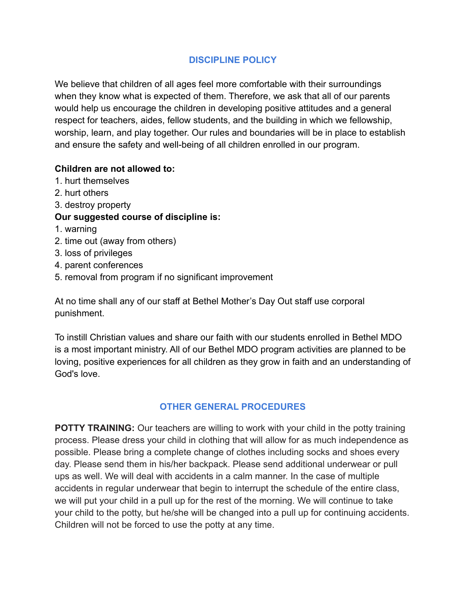#### **DISCIPLINE POLICY**

We believe that children of all ages feel more comfortable with their surroundings when they know what is expected of them. Therefore, we ask that all of our parents would help us encourage the children in developing positive attitudes and a general respect for teachers, aides, fellow students, and the building in which we fellowship, worship, learn, and play together. Our rules and boundaries will be in place to establish and ensure the safety and well-being of all children enrolled in our program.

#### **Children are not allowed to:**

- 1. hurt themselves
- 2. hurt others
- 3. destroy property

#### **Our suggested course of discipline is:**

- 1. warning
- 2. time out (away from others)
- 3. loss of privileges
- 4. parent conferences
- 5. removal from program if no significant improvement

At no time shall any of our staff at Bethel Mother's Day Out staff use corporal punishment.

To instill Christian values and share our faith with our students enrolled in Bethel MDO is a most important ministry. All of our Bethel MDO program activities are planned to be loving, positive experiences for all children as they grow in faith and an understanding of God's love.

## **OTHER GENERAL PROCEDURES**

**POTTY TRAINING:** Our teachers are willing to work with your child in the potty training process. Please dress your child in clothing that will allow for as much independence as possible. Please bring a complete change of clothes including socks and shoes every day. Please send them in his/her backpack. Please send additional underwear or pull ups as well. We will deal with accidents in a calm manner. In the case of multiple accidents in regular underwear that begin to interrupt the schedule of the entire class, we will put your child in a pull up for the rest of the morning. We will continue to take your child to the potty, but he/she will be changed into a pull up for continuing accidents. Children will not be forced to use the potty at any time.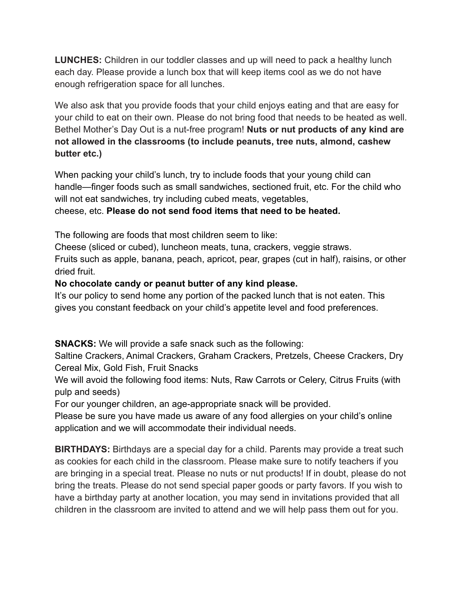**LUNCHES:** Children in our toddler classes and up will need to pack a healthy lunch each day. Please provide a lunch box that will keep items cool as we do not have enough refrigeration space for all lunches.

We also ask that you provide foods that your child enjoys eating and that are easy for your child to eat on their own. Please do not bring food that needs to be heated as well. Bethel Mother's Day Out is a nut-free program! **Nuts or nut products of any kind are not allowed in the classrooms (to include peanuts, tree nuts, almond, cashew butter etc.)**

When packing your child's lunch, try to include foods that your young child can handle—finger foods such as small sandwiches, sectioned fruit, etc. For the child who will not eat sandwiches, try including cubed meats, vegetables,

cheese, etc. **Please do not send food items that need to be heated.**

The following are foods that most children seem to like:

Cheese (sliced or cubed), luncheon meats, tuna, crackers, veggie straws.

Fruits such as apple, banana, peach, apricot, pear, grapes (cut in half), raisins, or other dried fruit.

## **No chocolate candy or peanut butter of any kind please.**

It's our policy to send home any portion of the packed lunch that is not eaten. This gives you constant feedback on your child's appetite level and food preferences.

**SNACKS:** We will provide a safe snack such as the following:

Saltine Crackers, Animal Crackers, Graham Crackers, Pretzels, Cheese Crackers, Dry Cereal Mix, Gold Fish, Fruit Snacks

We will avoid the following food items: Nuts, Raw Carrots or Celery, Citrus Fruits (with pulp and seeds)

For our younger children, an age-appropriate snack will be provided.

Please be sure you have made us aware of any food allergies on your child's online application and we will accommodate their individual needs.

**BIRTHDAYS:** Birthdays are a special day for a child. Parents may provide a treat such as cookies for each child in the classroom. Please make sure to notify teachers if you are bringing in a special treat. Please no nuts or nut products! If in doubt, please do not bring the treats. Please do not send special paper goods or party favors. If you wish to have a birthday party at another location, you may send in invitations provided that all children in the classroom are invited to attend and we will help pass them out for you.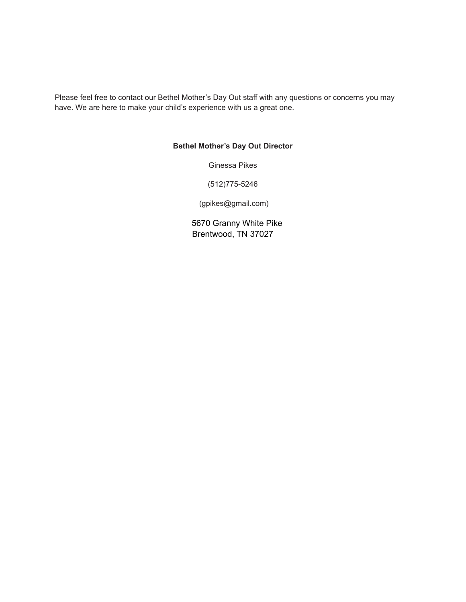Please feel free to contact our Bethel Mother's Day Out staff with any questions or concerns you may have. We are here to make your child's experience with us a great one.

#### **Bethel Mother's Day Out Director**

Ginessa Pikes

(512)775-5246

(gpikes@gmail.com)

5670 Granny White Pike Brentwood, TN 37027